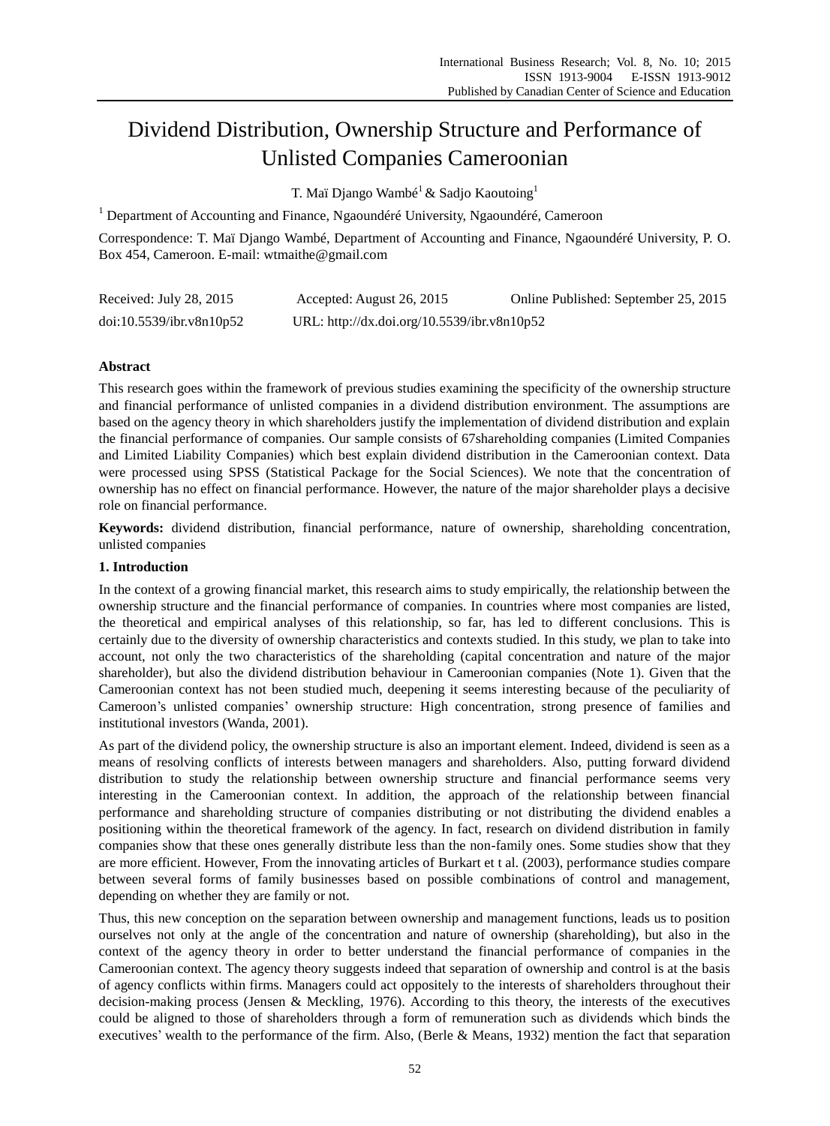# Dividend Distribution, Ownership Structure and Performance of Unlisted Companies Cameroonian

T. Maï Django Wambé<sup>1</sup> & Sadjo Kaoutoing<sup>1</sup>

 $<sup>1</sup>$  Department of Accounting and Finance, Ngaoundéré University, Ngaoundéré, Cameroon</sup>

Correspondence: T. Maï Django Wambé, Department of Accounting and Finance, Ngaoundéré University, P. O. Box 454, Cameroon. E-mail: [wtmaithe@gmail.com](mailto:wtmaithe@gmail.com)

| Received: July 28, 2015  | Accepted: August 26, 2015                   | Online Published: September 25, 2015 |
|--------------------------|---------------------------------------------|--------------------------------------|
| doi:10.5539/ibr.v8n10p52 | URL: http://dx.doi.org/10.5539/ibr.v8n10p52 |                                      |

# **Abstract**

This research goes within the framework of previous studies examining the specificity of the ownership structure and financial performance of unlisted companies in a dividend distribution environment. The assumptions are based on the agency theory in which shareholders justify the implementation of dividend distribution and explain the financial performance of companies. Our sample consists of 67shareholding companies (Limited Companies and Limited Liability Companies) which best explain dividend distribution in the Cameroonian context. Data were processed using SPSS (Statistical Package for the Social Sciences). We note that the concentration of ownership has no effect on financial performance. However, the nature of the major shareholder plays a decisive role on financial performance.

**Keywords:** dividend distribution, financial performance, nature of ownership, shareholding concentration, unlisted companies

# **1. Introduction**

In the context of a growing financial market, this research aims to study empirically, the relationship between the ownership structure and the financial performance of companies. In countries where most companies are listed, the theoretical and empirical analyses of this relationship, so far, has led to different conclusions. This is certainly due to the diversity of ownership characteristics and contexts studied. In this study, we plan to take into account, not only the two characteristics of the shareholding (capital concentration and nature of the major shareholder), but also the dividend distribution behaviour in Cameroonian companies (Note 1). Given that the Cameroonian context has not been studied much, deepening it seems interesting because of the peculiarity of Cameroon's unlisted companies' ownership structure: High concentration, strong presence of families and institutional investors (Wanda, 2001).

As part of the dividend policy, the ownership structure is also an important element. Indeed, dividend is seen as a means of resolving conflicts of interests between managers and shareholders. Also, putting forward dividend distribution to study the relationship between ownership structure and financial performance seems very interesting in the Cameroonian context. In addition, the approach of the relationship between financial performance and shareholding structure of companies distributing or not distributing the dividend enables a positioning within the theoretical framework of the agency. In fact, research on dividend distribution in family companies show that these ones generally distribute less than the non-family ones. Some studies show that they are more efficient. However, From the innovating articles of Burkart et t al. (2003), performance studies compare between several forms of family businesses based on possible combinations of control and management, depending on whether they are family or not.

Thus, this new conception on the separation between ownership and management functions, leads us to position ourselves not only at the angle of the concentration and nature of ownership (shareholding), but also in the context of the agency theory in order to better understand the financial performance of companies in the Cameroonian context. The agency theory suggests indeed that separation of ownership and control is at the basis of agency conflicts within firms. Managers could act oppositely to the interests of shareholders throughout their decision-making process (Jensen & Meckling, 1976). According to this theory, the interests of the executives could be aligned to those of shareholders through a form of remuneration such as dividends which binds the executives' wealth to the performance of the firm. Also, (Berle & Means, 1932) mention the fact that separation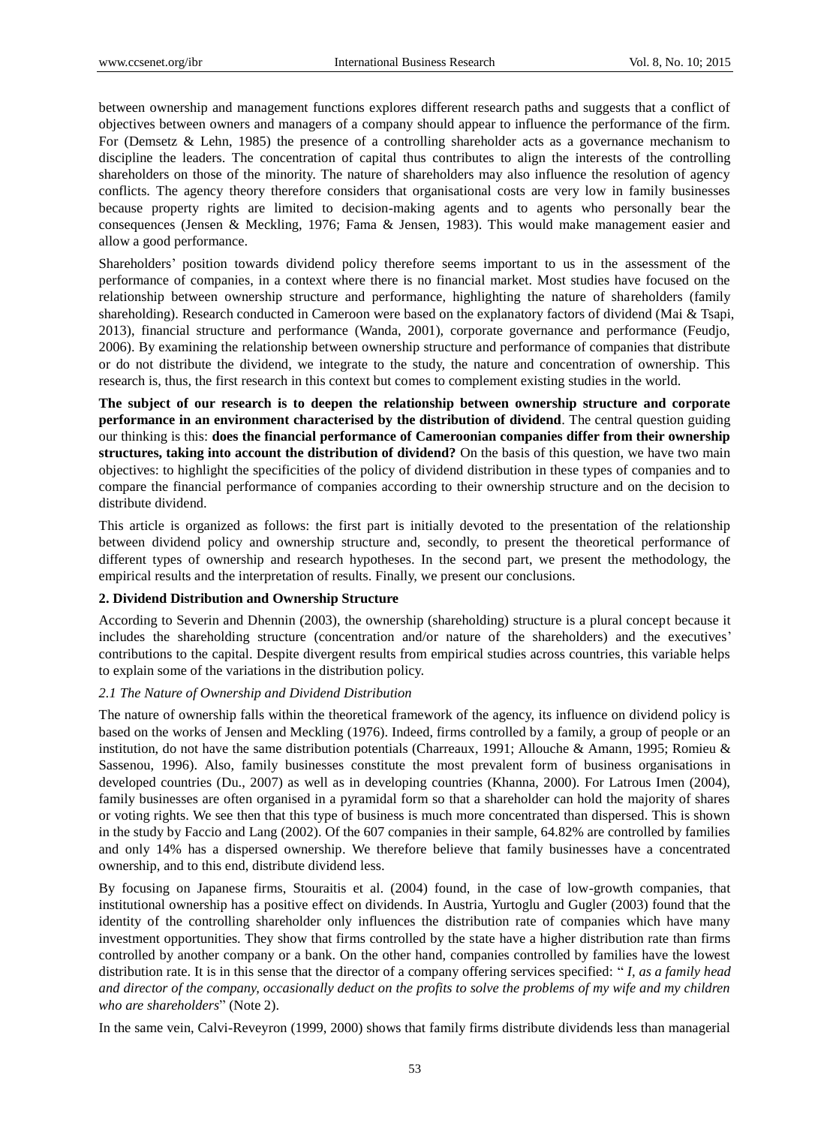between ownership and management functions explores different research paths and suggests that a conflict of objectives between owners and managers of a company should appear to influence the performance of the firm. For (Demsetz & Lehn, 1985) the presence of a controlling shareholder acts as a governance mechanism to discipline the leaders. The concentration of capital thus contributes to align the interests of the controlling shareholders on those of the minority. The nature of shareholders may also influence the resolution of agency conflicts. The agency theory therefore considers that organisational costs are very low in family businesses because property rights are limited to decision-making agents and to agents who personally bear the consequences (Jensen & Meckling, 1976; Fama & Jensen, 1983). This would make management easier and allow a good performance.

Shareholders' position towards dividend policy therefore seems important to us in the assessment of the performance of companies, in a context where there is no financial market. Most studies have focused on the relationship between ownership structure and performance, highlighting the nature of shareholders (family shareholding). Research conducted in Cameroon were based on the explanatory factors of dividend (Mai & Tsapi, 2013), financial structure and performance (Wanda, 2001), corporate governance and performance (Feudjo, 2006). By examining the relationship between ownership structure and performance of companies that distribute or do not distribute the dividend, we integrate to the study, the nature and concentration of ownership. This research is, thus, the first research in this context but comes to complement existing studies in the world.

**The subject of our research is to deepen the relationship between ownership structure and corporate performance in an environment characterised by the distribution of dividend**. The central question guiding our thinking is this: **does the financial performance of Cameroonian companies differ from their ownership structures, taking into account the distribution of dividend?** On the basis of this question, we have two main objectives: to highlight the specificities of the policy of dividend distribution in these types of companies and to compare the financial performance of companies according to their ownership structure and on the decision to distribute dividend.

This article is organized as follows: the first part is initially devoted to the presentation of the relationship between dividend policy and ownership structure and, secondly, to present the theoretical performance of different types of ownership and research hypotheses. In the second part, we present the methodology, the empirical results and the interpretation of results. Finally, we present our conclusions.

## **2. Dividend Distribution and Ownership Structure**

According to Severin and Dhennin (2003), the ownership (shareholding) structure is a plural concept because it includes the shareholding structure (concentration and/or nature of the shareholders) and the executives' contributions to the capital. Despite divergent results from empirical studies across countries, this variable helps to explain some of the variations in the distribution policy.

## *2.1 The Nature of Ownership and Dividend Distribution*

The nature of ownership falls within the theoretical framework of the agency, its influence on dividend policy is based on the works of Jensen and Meckling (1976). Indeed, firms controlled by a family, a group of people or an institution, do not have the same distribution potentials (Charreaux, 1991; Allouche & Amann, 1995; Romieu & Sassenou, 1996). Also, family businesses constitute the most prevalent form of business organisations in developed countries (Du., 2007) as well as in developing countries (Khanna, 2000). For Latrous Imen (2004), family businesses are often organised in a pyramidal form so that a shareholder can hold the majority of shares or voting rights. We see then that this type of business is much more concentrated than dispersed. This is shown in the study by Faccio and Lang (2002). Of the 607 companies in their sample, 64.82% are controlled by families and only 14% has a dispersed ownership. We therefore believe that family businesses have a concentrated ownership, and to this end, distribute dividend less.

By focusing on Japanese firms, Stouraitis et al. (2004) found, in the case of low-growth companies, that institutional ownership has a positive effect on dividends. In Austria, Yurtoglu and Gugler (2003) found that the identity of the controlling shareholder only influences the distribution rate of companies which have many investment opportunities. They show that firms controlled by the state have a higher distribution rate than firms controlled by another company or a bank. On the other hand, companies controlled by families have the lowest distribution rate. It is in this sense that the director of a company offering services specified: " *I, as a family head and director of the company, occasionally deduct on the profits to solve the problems of my wife and my children who are shareholders*" (Note 2).

In the same vein, Calvi-Reveyron (1999, 2000) shows that family firms distribute dividends less than managerial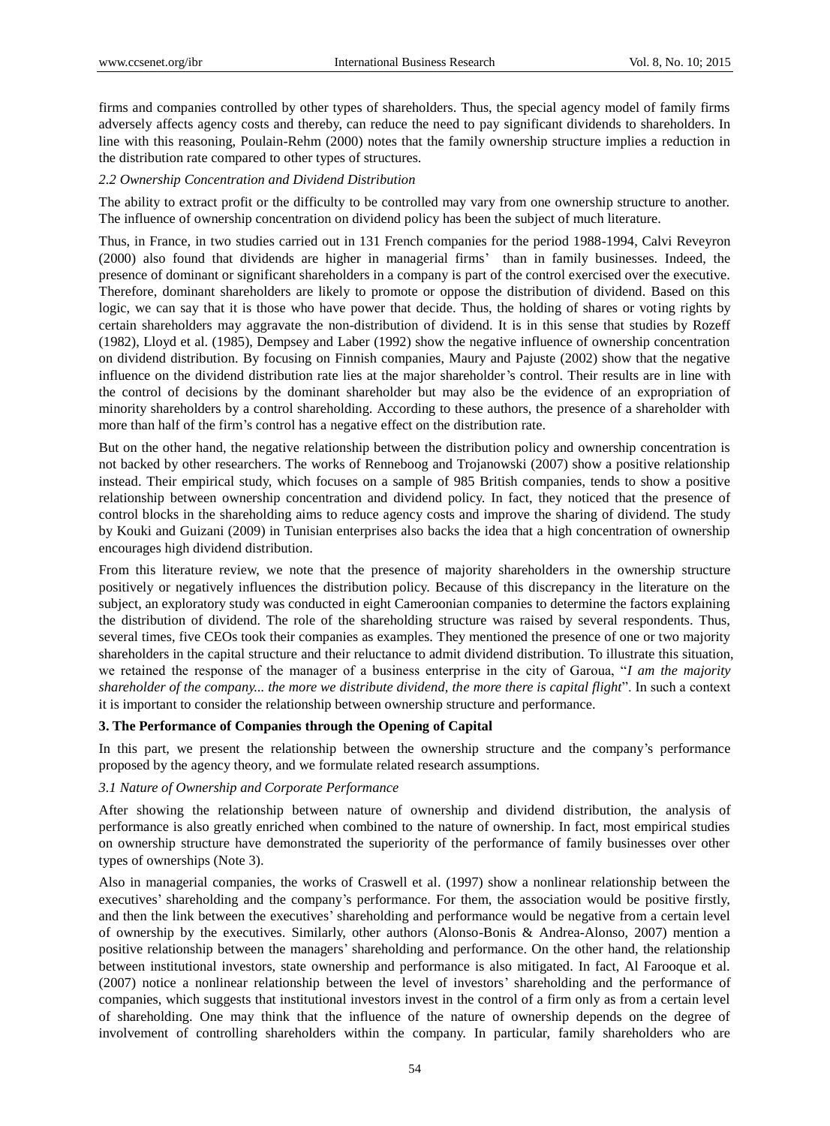firms and companies controlled by other types of shareholders. Thus, the special agency model of family firms adversely affects agency costs and thereby, can reduce the need to pay significant dividends to shareholders. In line with this reasoning, Poulain-Rehm (2000) notes that the family ownership structure implies a reduction in the distribution rate compared to other types of structures.

# *2.2 Ownership Concentration and Dividend Distribution*

The ability to extract profit or the difficulty to be controlled may vary from one ownership structure to another. The influence of ownership concentration on dividend policy has been the subject of much literature.

Thus, in France, in two studies carried out in 131 French companies for the period 1988-1994, Calvi Reveyron (2000) also found that dividends are higher in managerial firms' than in family businesses. Indeed, the presence of dominant or significant shareholders in a company is part of the control exercised over the executive. Therefore, dominant shareholders are likely to promote or oppose the distribution of dividend. Based on this logic, we can say that it is those who have power that decide. Thus, the holding of shares or voting rights by certain shareholders may aggravate the non-distribution of dividend. It is in this sense that studies by Rozeff (1982), Lloyd et al. (1985), Dempsey and Laber (1992) show the negative influence of ownership concentration on dividend distribution. By focusing on Finnish companies, Maury and Pajuste (2002) show that the negative influence on the dividend distribution rate lies at the major shareholder's control. Their results are in line with the control of decisions by the dominant shareholder but may also be the evidence of an expropriation of minority shareholders by a control shareholding. According to these authors, the presence of a shareholder with more than half of the firm's control has a negative effect on the distribution rate.

But on the other hand, the negative relationship between the distribution policy and ownership concentration is not backed by other researchers. The works of Renneboog and Trojanowski (2007) show a positive relationship instead. Their empirical study, which focuses on a sample of 985 British companies, tends to show a positive relationship between ownership concentration and dividend policy. In fact, they noticed that the presence of control blocks in the shareholding aims to reduce agency costs and improve the sharing of dividend. The study by Kouki and Guizani (2009) in Tunisian enterprises also backs the idea that a high concentration of ownership encourages high dividend distribution.

From this literature review, we note that the presence of majority shareholders in the ownership structure positively or negatively influences the distribution policy. Because of this discrepancy in the literature on the subject, an exploratory study was conducted in eight Cameroonian companies to determine the factors explaining the distribution of dividend. The role of the shareholding structure was raised by several respondents. Thus, several times, five CEOs took their companies as examples. They mentioned the presence of one or two majority shareholders in the capital structure and their reluctance to admit dividend distribution. To illustrate this situation, we retained the response of the manager of a business enterprise in the city of Garoua, "*I am the majority shareholder of the company... the more we distribute dividend, the more there is capital flight*". In such a context it is important to consider the relationship between ownership structure and performance.

# **3. The Performance of Companies through the Opening of Capital**

In this part, we present the relationship between the ownership structure and the company's performance proposed by the agency theory, and we formulate related research assumptions.

# *3.1 Nature of Ownership and Corporate Performance*

After showing the relationship between nature of ownership and dividend distribution, the analysis of performance is also greatly enriched when combined to the nature of ownership. In fact, most empirical studies on ownership structure have demonstrated the superiority of the performance of family businesses over other types of ownerships (Note 3).

Also in managerial companies, the works of Craswell et al. (1997) show a nonlinear relationship between the executives' shareholding and the company's performance. For them, the association would be positive firstly, and then the link between the executives' shareholding and performance would be negative from a certain level of ownership by the executives. Similarly, other authors (Alonso-Bonis & Andrea-Alonso, 2007) mention a positive relationship between the managers' shareholding and performance. On the other hand, the relationship between institutional investors, state ownership and performance is also mitigated. In fact, Al Farooque et al. (2007) notice a nonlinear relationship between the level of investors' shareholding and the performance of companies, which suggests that institutional investors invest in the control of a firm only as from a certain level of shareholding. One may think that the influence of the nature of ownership depends on the degree of involvement of controlling shareholders within the company. In particular, family shareholders who are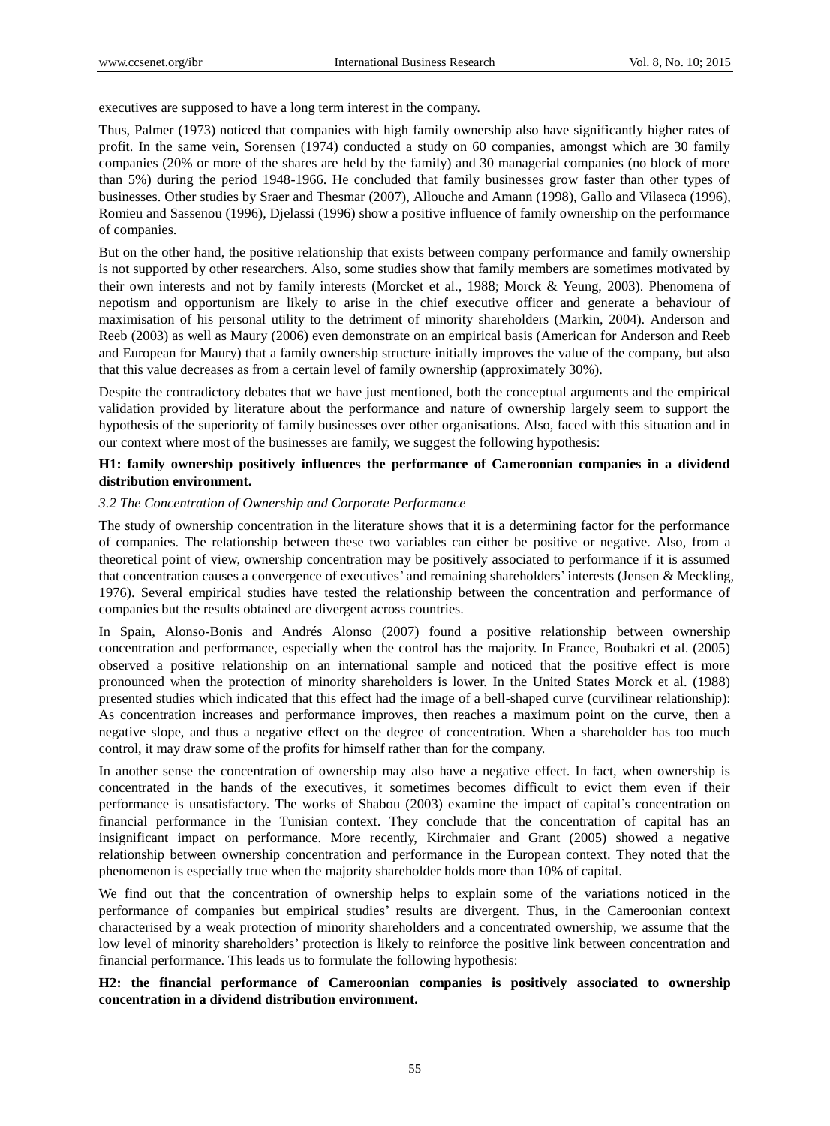executives are supposed to have a long term interest in the company.

Thus, Palmer (1973) noticed that companies with high family ownership also have significantly higher rates of profit. In the same vein, Sorensen (1974) conducted a study on 60 companies, amongst which are 30 family companies (20% or more of the shares are held by the family) and 30 managerial companies (no block of more than 5%) during the period 1948-1966. He concluded that family businesses grow faster than other types of businesses. Other studies by Sraer and Thesmar (2007), Allouche and Amann (1998), Gallo and Vilaseca (1996), Romieu and Sassenou (1996), Djelassi (1996) show a positive influence of family ownership on the performance of companies.

But on the other hand, the positive relationship that exists between company performance and family ownership is not supported by other researchers. Also, some studies show that family members are sometimes motivated by their own interests and not by family interests (Morcket et al., 1988; Morck & Yeung, 2003). Phenomena of nepotism and opportunism are likely to arise in the chief executive officer and generate a behaviour of maximisation of his personal utility to the detriment of minority shareholders (Markin, 2004). Anderson and Reeb (2003) as well as Maury (2006) even demonstrate on an empirical basis (American for Anderson and Reeb and European for Maury) that a family ownership structure initially improves the value of the company, but also that this value decreases as from a certain level of family ownership (approximately 30%).

Despite the contradictory debates that we have just mentioned, both the conceptual arguments and the empirical validation provided by literature about the performance and nature of ownership largely seem to support the hypothesis of the superiority of family businesses over other organisations. Also, faced with this situation and in our context where most of the businesses are family, we suggest the following hypothesis:

# **H1: family ownership positively influences the performance of Cameroonian companies in a dividend distribution environment.**

# *3.2 The Concentration of Ownership and Corporate Performance*

The study of ownership concentration in the literature shows that it is a determining factor for the performance of companies. The relationship between these two variables can either be positive or negative. Also, from a theoretical point of view, ownership concentration may be positively associated to performance if it is assumed that concentration causes a convergence of executives' and remaining shareholders' interests (Jensen & Meckling, 1976). Several empirical studies have tested the relationship between the concentration and performance of companies but the results obtained are divergent across countries.

In Spain, Alonso-Bonis and Andrés Alonso (2007) found a positive relationship between ownership concentration and performance, especially when the control has the majority. In France, Boubakri et al. (2005) observed a positive relationship on an international sample and noticed that the positive effect is more pronounced when the protection of minority shareholders is lower. In the United States Morck et al. (1988) presented studies which indicated that this effect had the image of a bell-shaped curve (curvilinear relationship): As concentration increases and performance improves, then reaches a maximum point on the curve, then a negative slope, and thus a negative effect on the degree of concentration. When a shareholder has too much control, it may draw some of the profits for himself rather than for the company.

In another sense the concentration of ownership may also have a negative effect. In fact, when ownership is concentrated in the hands of the executives, it sometimes becomes difficult to evict them even if their performance is unsatisfactory. The works of Shabou (2003) examine the impact of capital's concentration on financial performance in the Tunisian context. They conclude that the concentration of capital has an insignificant impact on performance. More recently, Kirchmaier and Grant (2005) showed a negative relationship between ownership concentration and performance in the European context. They noted that the phenomenon is especially true when the majority shareholder holds more than 10% of capital.

We find out that the concentration of ownership helps to explain some of the variations noticed in the performance of companies but empirical studies' results are divergent. Thus, in the Cameroonian context characterised by a weak protection of minority shareholders and a concentrated ownership, we assume that the low level of minority shareholders' protection is likely to reinforce the positive link between concentration and financial performance. This leads us to formulate the following hypothesis:

# **H2: the financial performance of Cameroonian companies is positively associated to ownership concentration in a dividend distribution environment.**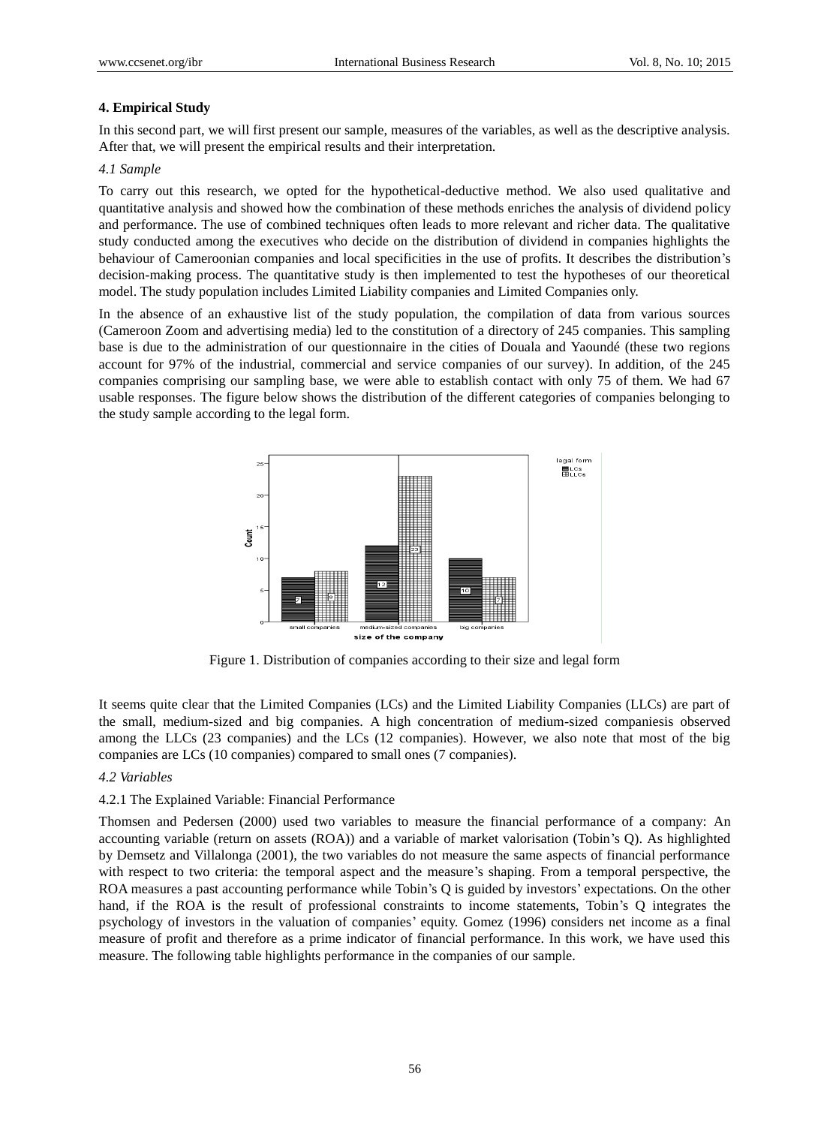## **4. Empirical Study**

In this second part, we will first present our sample, measures of the variables, as well as the descriptive analysis. After that, we will present the empirical results and their interpretation.

## *4.1 Sample*

To carry out this research, we opted for the hypothetical-deductive method. We also used qualitative and quantitative analysis and showed how the combination of these methods enriches the analysis of dividend policy and performance. The use of combined techniques often leads to more relevant and richer data. The qualitative study conducted among the executives who decide on the distribution of dividend in companies highlights the behaviour of Cameroonian companies and local specificities in the use of profits. It describes the distribution's decision-making process. The quantitative study is then implemented to test the hypotheses of our theoretical model. The study population includes Limited Liability companies and Limited Companies only.

In the absence of an exhaustive list of the study population, the compilation of data from various sources (Cameroon Zoom and advertising media) led to the constitution of a directory of 245 companies. This sampling base is due to the administration of our questionnaire in the cities of Douala and Yaoundé (these two regions account for 97% of the industrial, commercial and service companies of our survey). In addition, of the 245 companies comprising our sampling base, we were able to establish contact with only 75 of them. We had 67 usable responses. The figure below shows the distribution of the different categories of companies belonging to the study sample according to the legal form.



Figure 1. Distribution of companies according to their size and legal form

It seems quite clear that the Limited Companies (LCs) and the Limited Liability Companies (LLCs) are part of the small, medium-sized and big companies. A high concentration of medium-sized companiesis observed among the LLCs (23 companies) and the LCs (12 companies). However, we also note that most of the big companies are LCs (10 companies) compared to small ones (7 companies).

# *4.2 Variables*

## 4.2.1 The Explained Variable: Financial Performance

Thomsen and Pedersen (2000) used two variables to measure the financial performance of a company: An accounting variable (return on assets (ROA)) and a variable of market valorisation (Tobin's Q). As highlighted by Demsetz and Villalonga (2001), the two variables do not measure the same aspects of financial performance with respect to two criteria: the temporal aspect and the measure's shaping. From a temporal perspective, the ROA measures a past accounting performance while Tobin's Q is guided by investors' expectations. On the other hand, if the ROA is the result of professional constraints to income statements, Tobin's Q integrates the psychology of investors in the valuation of companies' equity. Gomez (1996) considers net income as a final measure of profit and therefore as a prime indicator of financial performance. In this work, we have used this measure. The following table highlights performance in the companies of our sample.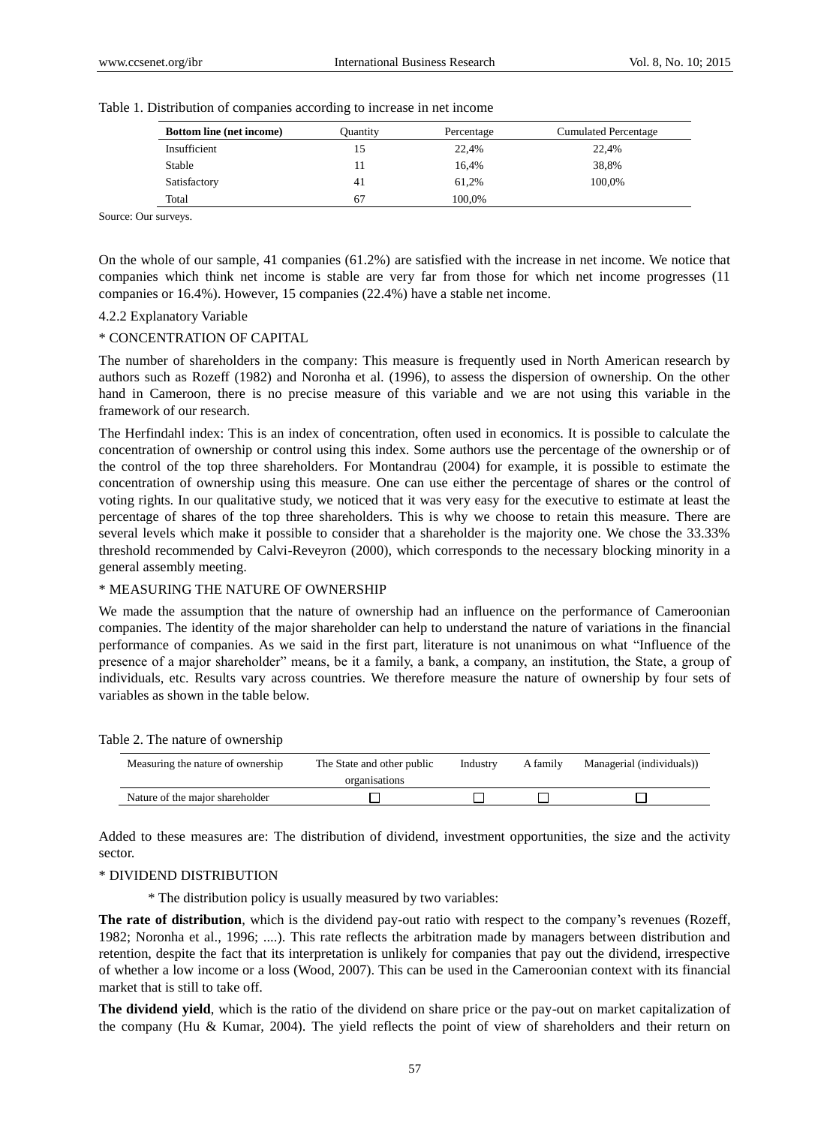| <b>Bottom line (net income)</b> | Ouantity | Percentage | Cumulated Percentage |
|---------------------------------|----------|------------|----------------------|
| Insufficient                    | 15       | 22.4%      | 22.4%                |
| Stable                          |          | 16.4%      | 38.8%                |
| Satisfactory                    | 41       | 61.2%      | 100.0%               |
| Total                           | 67       | 100.0%     |                      |

Table 1. Distribution of companies according to increase in net income

Source: Our surveys.

On the whole of our sample, 41 companies (61.2%) are satisfied with the increase in net income. We notice that companies which think net income is stable are very far from those for which net income progresses (11 companies or 16.4%). However, 15 companies (22.4%) have a stable net income.

#### 4.2.2 Explanatory Variable

## \* CONCENTRATION OF CAPITAL

The number of shareholders in the company: This measure is frequently used in North American research by authors such as Rozeff (1982) and Noronha et al. (1996), to assess the dispersion of ownership. On the other hand in Cameroon, there is no precise measure of this variable and we are not using this variable in the framework of our research.

The Herfindahl index: This is an index of concentration, often used in economics. It is possible to calculate the concentration of ownership or control using this index. Some authors use the percentage of the ownership or of the control of the top three shareholders. For Montandrau (2004) for example, it is possible to estimate the concentration of ownership using this measure. One can use either the percentage of shares or the control of voting rights. In our qualitative study, we noticed that it was very easy for the executive to estimate at least the percentage of shares of the top three shareholders. This is why we choose to retain this measure. There are several levels which make it possible to consider that a shareholder is the majority one. We chose the 33.33% threshold recommended by Calvi-Reveyron (2000), which corresponds to the necessary blocking minority in a general assembly meeting.

## \* MEASURING THE NATURE OF OWNERSHIP

We made the assumption that the nature of ownership had an influence on the performance of Cameroonian companies. The identity of the major shareholder can help to understand the nature of variations in the financial performance of companies. As we said in the first part, literature is not unanimous on what "Influence of the presence of a major shareholder" means, be it a family, a bank, a company, an institution, the State, a group of individuals, etc. Results vary across countries. We therefore measure the nature of ownership by four sets of variables as shown in the table below.

#### Table 2. The nature of ownership

| Measuring the nature of ownership | The State and other public | Industry | A family | Managerial (individuals)) |
|-----------------------------------|----------------------------|----------|----------|---------------------------|
|                                   | organisations              |          |          |                           |
| Nature of the major shareholder   |                            |          |          |                           |

Added to these measures are: The distribution of dividend, investment opportunities, the size and the activity sector.

# \* DIVIDEND DISTRIBUTION

\* The distribution policy is usually measured by two variables:

**The rate of distribution**, which is the dividend pay-out ratio with respect to the company's revenues (Rozeff, 1982; Noronha et al., 1996; ....). This rate reflects the arbitration made by managers between distribution and retention, despite the fact that its interpretation is unlikely for companies that pay out the dividend, irrespective of whether a low income or a loss (Wood, 2007). This can be used in the Cameroonian context with its financial market that is still to take off.

**The dividend yield**, which is the ratio of the dividend on share price or the pay-out on market capitalization of the company (Hu & Kumar, 2004). The yield reflects the point of view of shareholders and their return on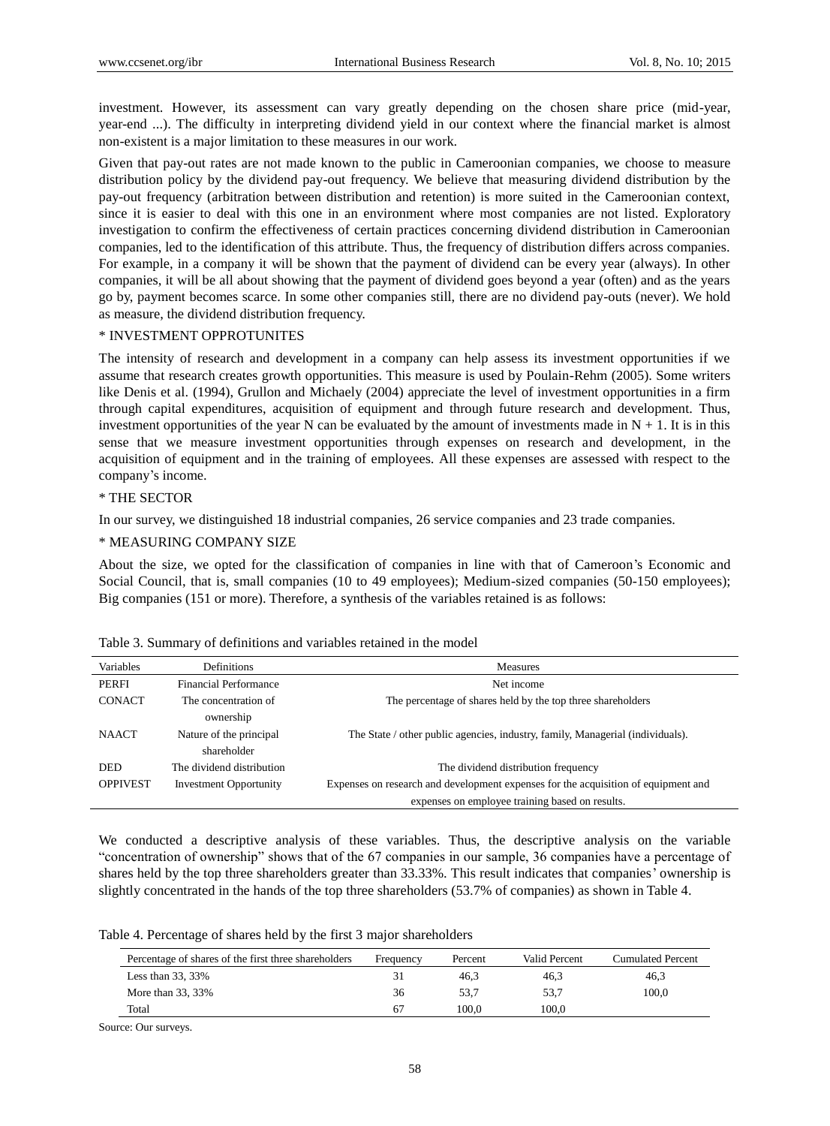investment. However, its assessment can vary greatly depending on the chosen share price (mid-year, year-end ...). The difficulty in interpreting dividend yield in our context where the financial market is almost non-existent is a major limitation to these measures in our work.

Given that pay-out rates are not made known to the public in Cameroonian companies, we choose to measure distribution policy by the dividend pay-out frequency. We believe that measuring dividend distribution by the pay-out frequency (arbitration between distribution and retention) is more suited in the Cameroonian context, since it is easier to deal with this one in an environment where most companies are not listed. Exploratory investigation to confirm the effectiveness of certain practices concerning dividend distribution in Cameroonian companies, led to the identification of this attribute. Thus, the frequency of distribution differs across companies. For example, in a company it will be shown that the payment of dividend can be every year (always). In other companies, it will be all about showing that the payment of dividend goes beyond a year (often) and as the years go by, payment becomes scarce. In some other companies still, there are no dividend pay-outs (never). We hold as measure, the dividend distribution frequency.

# \* INVESTMENT OPPROTUNITES

The intensity of research and development in a company can help assess its investment opportunities if we assume that research creates growth opportunities. This measure is used by Poulain-Rehm (2005). Some writers like Denis et al. (1994), Grullon and Michaely (2004) appreciate the level of investment opportunities in a firm through capital expenditures, acquisition of equipment and through future research and development. Thus, investment opportunities of the year N can be evaluated by the amount of investments made in  $N + 1$ . It is in this sense that we measure investment opportunities through expenses on research and development, in the acquisition of equipment and in the training of employees. All these expenses are assessed with respect to the company's income.

## \* THE SECTOR

In our survey, we distinguished 18 industrial companies, 26 service companies and 23 trade companies.

# \* MEASURING COMPANY SIZE

About the size, we opted for the classification of companies in line with that of Cameroon's Economic and Social Council, that is, small companies (10 to 49 employees); Medium-sized companies (50-150 employees); Big companies (151 or more). Therefore, a synthesis of the variables retained is as follows:

| Variables       | <b>Definitions</b>            | <b>Measures</b>                                                                    |
|-----------------|-------------------------------|------------------------------------------------------------------------------------|
| <b>PERFI</b>    | Financial Performance         | Net income                                                                         |
| <b>CONACT</b>   | The concentration of          | The percentage of shares held by the top three shareholders                        |
|                 | ownership                     |                                                                                    |
| <b>NAACT</b>    | Nature of the principal       | The State / other public agencies, industry, family, Managerial (individuals).     |
|                 | shareholder                   |                                                                                    |
| <b>DED</b>      | The dividend distribution     | The dividend distribution frequency                                                |
| <b>OPPIVEST</b> | <b>Investment Opportunity</b> | Expenses on research and development expenses for the acquisition of equipment and |
|                 |                               | expenses on employee training based on results.                                    |

We conducted a descriptive analysis of these variables. Thus, the descriptive analysis on the variable "concentration of ownership" shows that of the 67 companies in our sample, 36 companies have a percentage of shares held by the top three shareholders greater than 33.33%. This result indicates that companies' ownership is slightly concentrated in the hands of the top three shareholders (53.7% of companies) as shown in Table 4.

Table 4. Percentage of shares held by the first 3 major shareholders

| Percentage of shares of the first three shareholders | Frequency | Percent | Valid Percent | Cumulated Percent |
|------------------------------------------------------|-----------|---------|---------------|-------------------|
| Less than $33, 33\%$                                 | 31        | 46.3    | 46.3          | 46,3              |
| More than 33, 33%                                    | 36        | 53.7    | 53.7          | 100.0             |
| Total                                                | 67        | 100.0   | 100.0         |                   |

Source: Our surveys.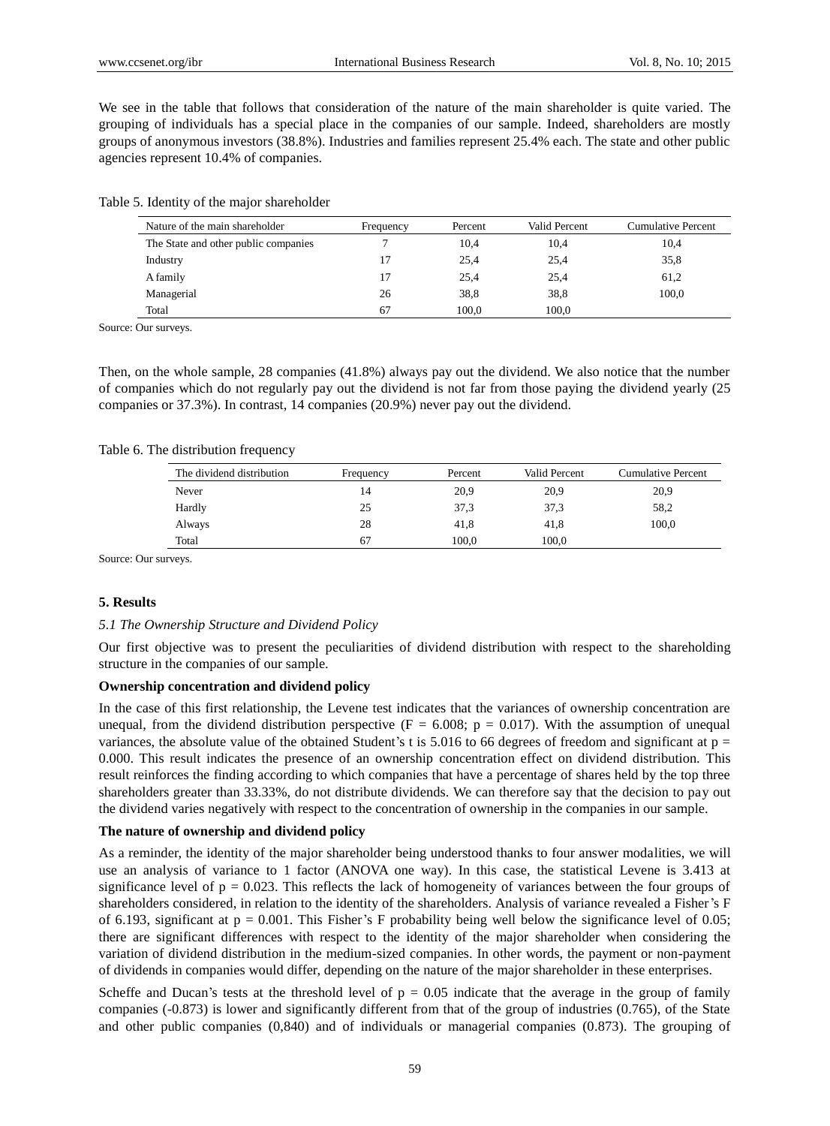We see in the table that follows that consideration of the nature of the main shareholder is quite varied. The grouping of individuals has a special place in the companies of our sample. Indeed, shareholders are mostly groups of anonymous investors (38.8%). Industries and families represent 25.4% each. The state and other public agencies represent 10.4% of companies.

|  | Table 5. Identity of the major shareholder |  |  |  |
|--|--------------------------------------------|--|--|--|
|  |                                            |  |  |  |

| Nature of the main shareholder       | Frequency | Percent | Valid Percent | Cumulative Percent |
|--------------------------------------|-----------|---------|---------------|--------------------|
| The State and other public companies |           | 10,4    | 10,4          | 10,4               |
| Industry                             | 17        | 25,4    | 25,4          | 35,8               |
| A family                             | 17        | 25,4    | 25,4          | 61,2               |
| Managerial                           | 26        | 38,8    | 38.8          | 100,0              |
| Total                                | 67        | 100.0   | 100.0         |                    |

Source: Our surveys.

Then, on the whole sample, 28 companies (41.8%) always pay out the dividend. We also notice that the number of companies which do not regularly pay out the dividend is not far from those paying the dividend yearly (25 companies or 37.3%). In contrast, 14 companies (20.9%) never pay out the dividend.

| The dividend distribution | Frequency | Percent | Valid Percent | Cumulative Percent |
|---------------------------|-----------|---------|---------------|--------------------|
| Never                     | 14        | 20,9    | 20,9          | 20,9               |
| Hardly                    | 25        | 37,3    | 37,3          | 58,2               |
| Always                    | 28        | 41,8    | 41,8          | 100,0              |
| Total                     | 67        | 100.0   | 100.0         |                    |

Source: Our surveys.

## **5. Results**

## *5.1 The Ownership Structure and Dividend Policy*

Our first objective was to present the peculiarities of dividend distribution with respect to the shareholding structure in the companies of our sample.

## **Ownership concentration and dividend policy**

In the case of this first relationship, the Levene test indicates that the variances of ownership concentration are unequal, from the dividend distribution perspective ( $F = 6.008$ ;  $p = 0.017$ ). With the assumption of unequal variances, the absolute value of the obtained Student's t is 5.016 to 66 degrees of freedom and significant at  $p =$ 0.000. This result indicates the presence of an ownership concentration effect on dividend distribution. This result reinforces the finding according to which companies that have a percentage of shares held by the top three shareholders greater than 33.33%, do not distribute dividends. We can therefore say that the decision to pay out the dividend varies negatively with respect to the concentration of ownership in the companies in our sample.

## **The nature of ownership and dividend policy**

As a reminder, the identity of the major shareholder being understood thanks to four answer modalities, we will use an analysis of variance to 1 factor (ANOVA one way). In this case, the statistical Levene is 3.413 at significance level of  $p = 0.023$ . This reflects the lack of homogeneity of variances between the four groups of shareholders considered, in relation to the identity of the shareholders. Analysis of variance revealed a Fisher's F of 6.193, significant at  $p = 0.001$ . This Fisher's F probability being well below the significance level of 0.05; there are significant differences with respect to the identity of the major shareholder when considering the variation of dividend distribution in the medium-sized companies. In other words, the payment or non-payment of dividends in companies would differ, depending on the nature of the major shareholder in these enterprises.

Scheffe and Ducan's tests at the threshold level of  $p = 0.05$  indicate that the average in the group of family companies (-0.873) is lower and significantly different from that of the group of industries (0.765), of the State and other public companies (0,840) and of individuals or managerial companies (0.873). The grouping of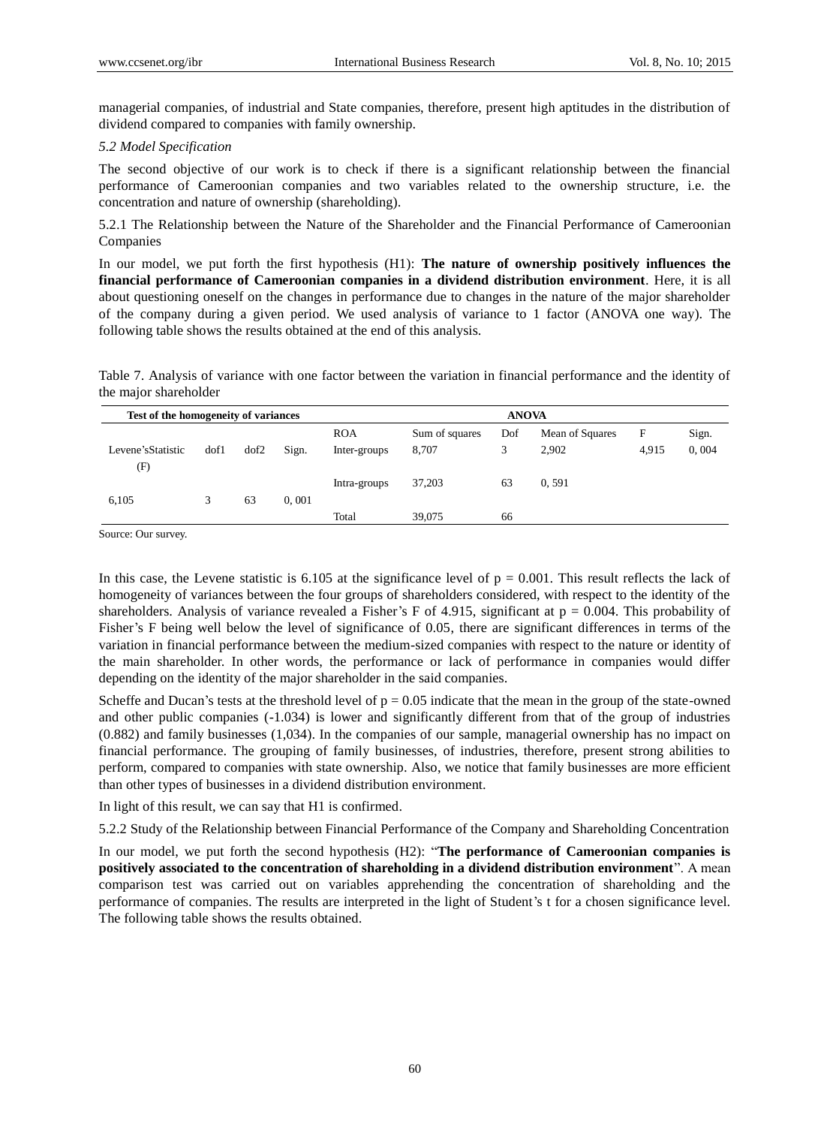managerial companies, of industrial and State companies, therefore, present high aptitudes in the distribution of dividend compared to companies with family ownership.

## *5.2 Model Specification*

The second objective of our work is to check if there is a significant relationship between the financial performance of Cameroonian companies and two variables related to the ownership structure, i.e. the concentration and nature of ownership (shareholding).

5.2.1 The Relationship between the Nature of the Shareholder and the Financial Performance of Cameroonian Companies

In our model, we put forth the first hypothesis (H1): **The nature of ownership positively influences the financial performance of Cameroonian companies in a dividend distribution environment**. Here, it is all about questioning oneself on the changes in performance due to changes in the nature of the major shareholder of the company during a given period. We used analysis of variance to 1 factor (ANOVA one way). The following table shows the results obtained at the end of this analysis.

Table 7. Analysis of variance with one factor between the variation in financial performance and the identity of the major shareholder

|                          | Test of the homogeneity of variances |      |       |              |                | <b>ANOVA</b> |                 |       |       |
|--------------------------|--------------------------------------|------|-------|--------------|----------------|--------------|-----------------|-------|-------|
|                          |                                      |      |       | <b>ROA</b>   | Sum of squares | Dof          | Mean of Squares | F     | Sign. |
| Levene'sStatistic<br>(F) | dof1                                 | dof2 | Sign. | Inter-groups | 8.707          |              | 2.902           | 4.915 | 0,004 |
|                          |                                      |      |       | Intra-groups | 37,203         | 63           | 0.591           |       |       |
| 6,105                    | 3                                    | 63   | 0.001 |              |                |              |                 |       |       |
|                          |                                      |      |       | Total        | 39,075         | 66           |                 |       |       |

Source: Our survey.

In this case, the Levene statistic is  $6.105$  at the significance level of  $p = 0.001$ . This result reflects the lack of homogeneity of variances between the four groups of shareholders considered, with respect to the identity of the shareholders. Analysis of variance revealed a Fisher's F of 4.915, significant at  $p = 0.004$ . This probability of Fisher's F being well below the level of significance of 0.05, there are significant differences in terms of the variation in financial performance between the medium-sized companies with respect to the nature or identity of the main shareholder. In other words, the performance or lack of performance in companies would differ depending on the identity of the major shareholder in the said companies.

Scheffe and Ducan's tests at the threshold level of  $p = 0.05$  indicate that the mean in the group of the state-owned and other public companies (-1.034) is lower and significantly different from that of the group of industries (0.882) and family businesses (1,034). In the companies of our sample, managerial ownership has no impact on financial performance. The grouping of family businesses, of industries, therefore, present strong abilities to perform, compared to companies with state ownership. Also, we notice that family businesses are more efficient than other types of businesses in a dividend distribution environment.

In light of this result, we can say that H1 is confirmed.

5.2.2 Study of the Relationship between Financial Performance of the Company and Shareholding Concentration

In our model, we put forth the second hypothesis (H2): "**The performance of Cameroonian companies is positively associated to the concentration of shareholding in a dividend distribution environment**". A mean comparison test was carried out on variables apprehending the concentration of shareholding and the performance of companies. The results are interpreted in the light of Student's t for a chosen significance level. The following table shows the results obtained.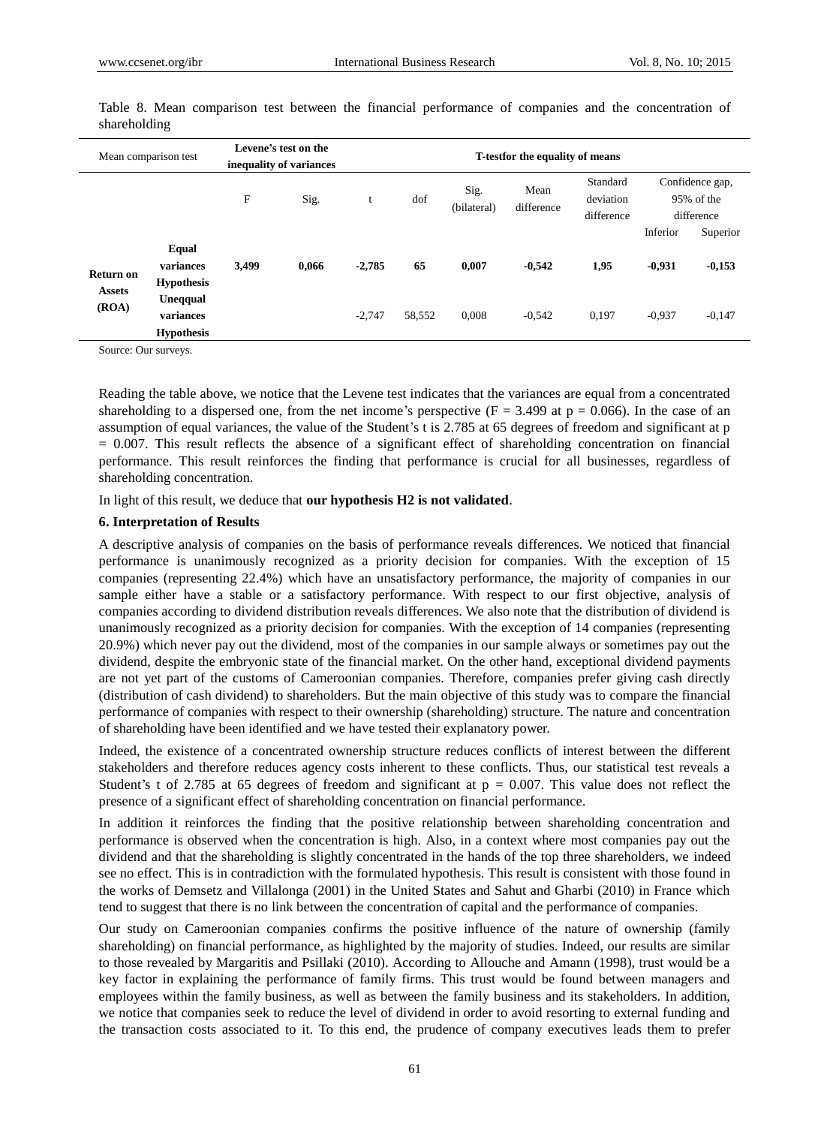| Mean comparison test              |                                            | Levene's test on the<br>inequality of variances |       | T-testfor the equality of means |        |                     |                    |                                     |          |                                             |
|-----------------------------------|--------------------------------------------|-------------------------------------------------|-------|---------------------------------|--------|---------------------|--------------------|-------------------------------------|----------|---------------------------------------------|
|                                   |                                            | F                                               | Sig.  | t                               | dof    | Sig.<br>(bilateral) | Mean<br>difference | Standard<br>deviation<br>difference |          | Confidence gap,<br>95% of the<br>difference |
|                                   |                                            |                                                 |       |                                 |        |                     |                    |                                     | Inferior | Superior                                    |
| <b>Return on</b><br><b>Assets</b> | Equal<br>variances<br><b>Hypothesis</b>    | 3,499                                           | 0.066 | $-2,785$                        | 65     | 0,007               | $-0,542$           | 1,95                                | $-0,931$ | $-0,153$                                    |
| (ROA)                             | Uneqqual<br>variances<br><b>Hypothesis</b> |                                                 |       | $-2.747$                        | 58,552 | 0,008               | $-0.542$           | 0,197                               | $-0.937$ | $-0.147$                                    |

Table 8. Mean comparison test between the financial performance of companies and the concentration of shareholding

Source: Our surveys.

Reading the table above, we notice that the Levene test indicates that the variances are equal from a concentrated shareholding to a dispersed one, from the net income's perspective  $(F = 3.499$  at  $p = 0.066$ ). In the case of an assumption of equal variances, the value of the Student's t is 2.785 at 65 degrees of freedom and significant at p = 0.007. This result reflects the absence of a significant effect of shareholding concentration on financial performance. This result reinforces the finding that performance is crucial for all businesses, regardless of shareholding concentration.

In light of this result, we deduce that **our hypothesis H2 is not validated**.

## **6. Interpretation of Results**

A descriptive analysis of companies on the basis of performance reveals differences. We noticed that financial performance is unanimously recognized as a priority decision for companies. With the exception of 15 companies (representing 22.4%) which have an unsatisfactory performance, the majority of companies in our sample either have a stable or a satisfactory performance. With respect to our first objective, analysis of companies according to dividend distribution reveals differences. We also note that the distribution of dividend is unanimously recognized as a priority decision for companies. With the exception of 14 companies (representing 20.9%) which never pay out the dividend, most of the companies in our sample always or sometimes pay out the dividend, despite the embryonic state of the financial market. On the other hand, exceptional dividend payments are not yet part of the customs of Cameroonian companies. Therefore, companies prefer giving cash directly (distribution of cash dividend) to shareholders. But the main objective of this study was to compare the financial performance of companies with respect to their ownership (shareholding) structure. The nature and concentration of shareholding have been identified and we have tested their explanatory power.

Indeed, the existence of a concentrated ownership structure reduces conflicts of interest between the different stakeholders and therefore reduces agency costs inherent to these conflicts. Thus, our statistical test reveals a Student's t of 2.785 at 65 degrees of freedom and significant at  $p = 0.007$ . This value does not reflect the presence of a significant effect of shareholding concentration on financial performance.

In addition it reinforces the finding that the positive relationship between shareholding concentration and performance is observed when the concentration is high. Also, in a context where most companies pay out the dividend and that the shareholding is slightly concentrated in the hands of the top three shareholders, we indeed see no effect. This is in contradiction with the formulated hypothesis. This result is consistent with those found in the works of Demsetz and Villalonga (2001) in the United States and Sahut and Gharbi (2010) in France which tend to suggest that there is no link between the concentration of capital and the performance of companies.

Our study on Cameroonian companies confirms the positive influence of the nature of ownership (family shareholding) on financial performance, as highlighted by the majority of studies. Indeed, our results are similar to those revealed by Margaritis and Psillaki (2010). According to Allouche and Amann (1998), trust would be a key factor in explaining the performance of family firms. This trust would be found between managers and employees within the family business, as well as between the family business and its stakeholders. In addition, we notice that companies seek to reduce the level of dividend in order to avoid resorting to external funding and the transaction costs associated to it. To this end, the prudence of company executives leads them to prefer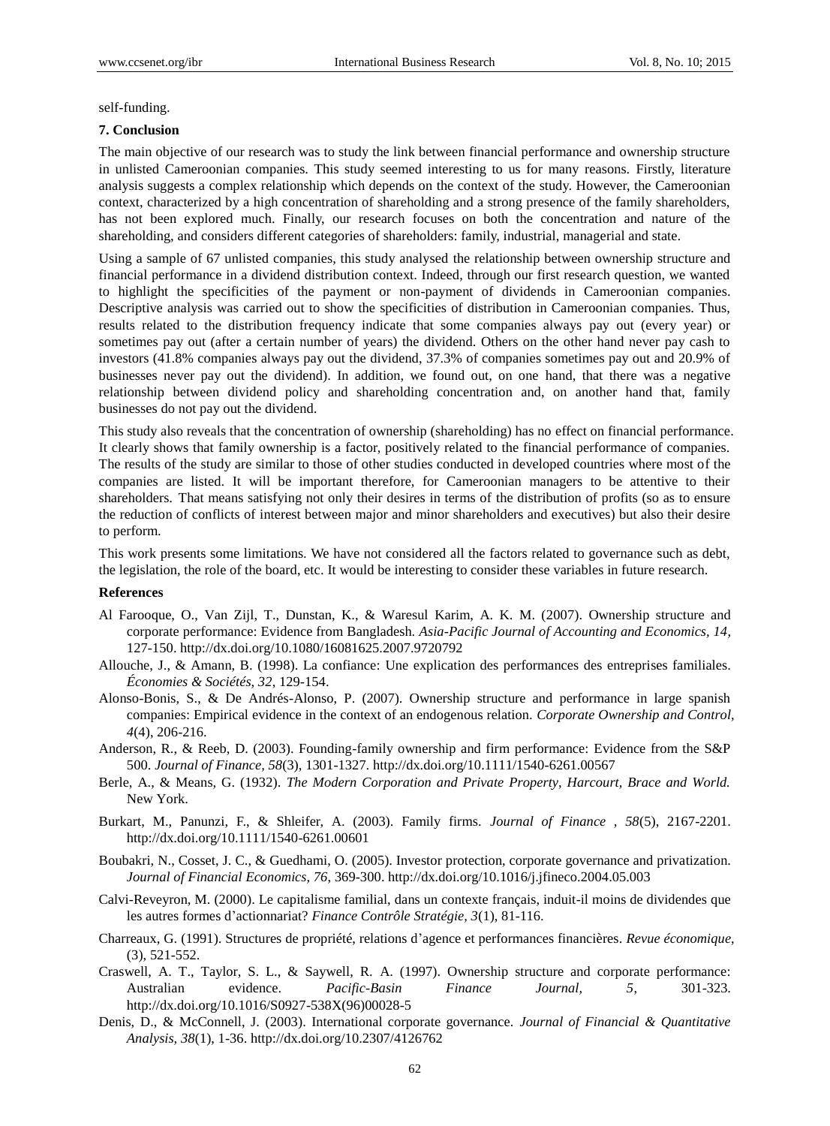self-funding.

## **7. Conclusion**

The main objective of our research was to study the link between financial performance and ownership structure in unlisted Cameroonian companies. This study seemed interesting to us for many reasons. Firstly, literature analysis suggests a complex relationship which depends on the context of the study. However, the Cameroonian context, characterized by a high concentration of shareholding and a strong presence of the family shareholders, has not been explored much. Finally, our research focuses on both the concentration and nature of the shareholding, and considers different categories of shareholders: family, industrial, managerial and state.

Using a sample of 67 unlisted companies, this study analysed the relationship between ownership structure and financial performance in a dividend distribution context. Indeed, through our first research question, we wanted to highlight the specificities of the payment or non-payment of dividends in Cameroonian companies. Descriptive analysis was carried out to show the specificities of distribution in Cameroonian companies. Thus, results related to the distribution frequency indicate that some companies always pay out (every year) or sometimes pay out (after a certain number of years) the dividend. Others on the other hand never pay cash to investors (41.8% companies always pay out the dividend, 37.3% of companies sometimes pay out and 20.9% of businesses never pay out the dividend). In addition, we found out, on one hand, that there was a negative relationship between dividend policy and shareholding concentration and, on another hand that, family businesses do not pay out the dividend.

This study also reveals that the concentration of ownership (shareholding) has no effect on financial performance. It clearly shows that family ownership is a factor, positively related to the financial performance of companies. The results of the study are similar to those of other studies conducted in developed countries where most of the companies are listed. It will be important therefore, for Cameroonian managers to be attentive to their shareholders. That means satisfying not only their desires in terms of the distribution of profits (so as to ensure the reduction of conflicts of interest between major and minor shareholders and executives) but also their desire to perform.

This work presents some limitations. We have not considered all the factors related to governance such as debt, the legislation, the role of the board, etc. It would be interesting to consider these variables in future research.

#### **References**

- Al Farooque, O., Van Zijl, T., Dunstan, K., & Waresul Karim, A. K. M. (2007). Ownership structure and corporate performance: Evidence from Bangladesh. *Asia-Pacific Journal of Accounting and Economics, 14*, 127-150.<http://dx.doi.org/10.1080/16081625.2007.9720792>
- Allouche, J., & Amann, B. (1998). La confiance: Une explication des performances des entreprises familiales. *Économies & Sociétés, 32*, 129-154.
- Alonso-Bonis, S., & De Andrés-Alonso, P. (2007). Ownership structure and performance in large spanish companies: Empirical evidence in the context of an endogenous relation. *Corporate Ownership and Control, 4*(4), 206-216.
- Anderson, R., & Reeb, D. (2003). Founding-family ownership and firm performance: Evidence from the S&P 500. *Journal of Finance, 58*(3), 1301-1327. <http://dx.doi.org/10.1111/1540-6261.00567>
- Berle, A., & Means, G. (1932). *The Modern Corporation and Private Property, Harcourt, Brace and World.* New York.
- Burkart, M., Panunzi, F., & Shleifer, A. (2003). Family firms. *Journal of Finance , 58*(5), 2167-2201. <http://dx.doi.org/10.1111/1540-6261.00601>
- Boubakri, N., Cosset, J. C., & Guedhami, O. (2005). Investor protection, corporate governance and privatization. *Journal of Financial Economics, 76*, 369-300. <http://dx.doi.org/10.1016/j.jfineco.2004.05.003>
- Calvi-Reveyron, M. (2000). Le capitalisme familial, dans un contexte français, induit-il moins de dividendes que les autres formes d'actionnariat? *Finance Contrôle Stratégie, 3*(1), 81-116.
- Charreaux, G. (1991). Structures de propriété, relations d'agence et performances financières. *Revue économique*, (3), 521-552.
- Craswell, A. T., Taylor, S. L., & Saywell, R. A. (1997). Ownership structure and corporate performance: Australian evidence. *Pacific-Basin Finance Journal, 5*, 301-323. [http://dx.doi.org/10.1016/S0927-538X\(96\)00028-5](http://dx.doi.org/10.1016/S0927-538X(96)00028-5)
- Denis, D., & McConnell, J. (2003). International corporate governance. *Journal of Financial & Quantitative Analysis, 38*(1), 1-36. http://dx.doi.org/10.2307/4126762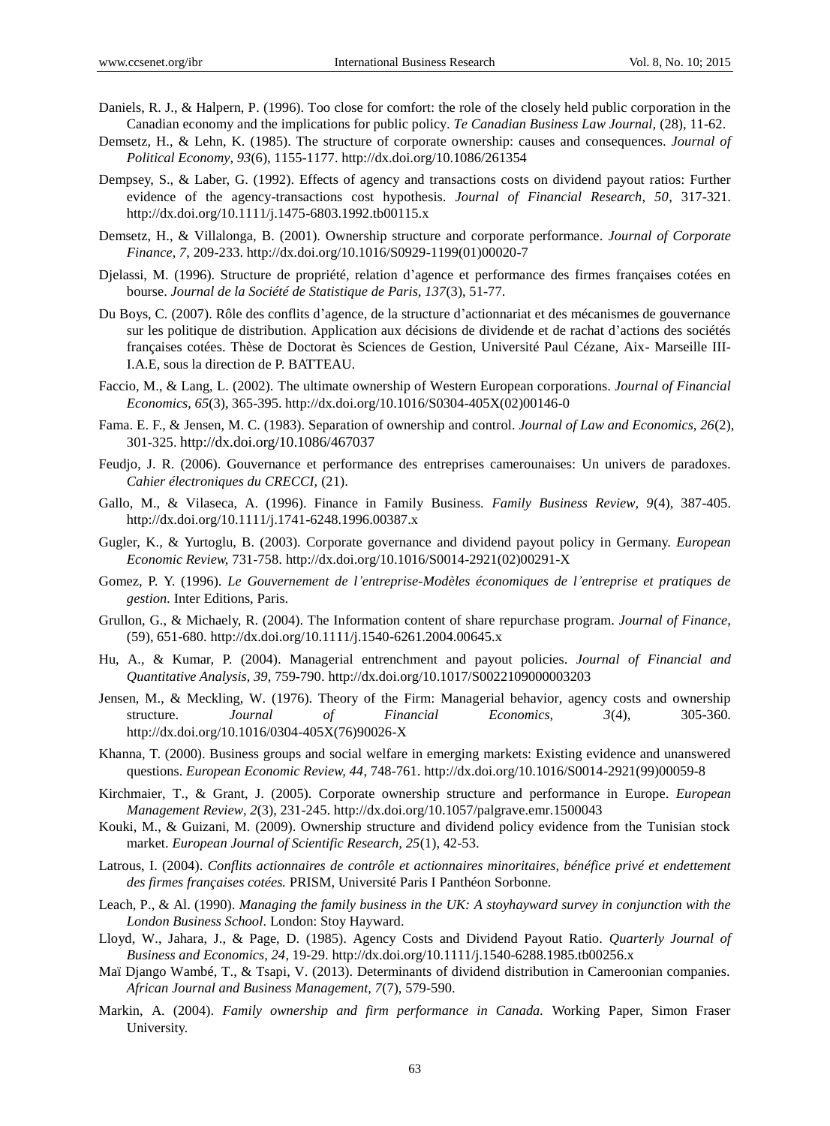- Daniels, R. J., & Halpern, P. (1996). Too close for comfort: the role of the closely held public corporation in the Canadian economy and the implications for public policy. *Te Canadian Business Law Journal,* (28), 11-62.
- Demsetz, H., & Lehn, K. (1985). The structure of corporate ownership: causes and consequences. *Journal of Political Economy, 93*(6), 1155-1177. <http://dx.doi.org/10.1086/261354>
- Dempsey, S., & Laber, G. (1992). Effects of agency and transactions costs on dividend payout ratios: Further evidence of the agency-transactions cost hypothesis. *Journal of Financial Research, 50*, 317-321. <http://dx.doi.org/10.1111/j.1475-6803.1992.tb00115.x>
- Demsetz, H., & Villalonga, B. (2001). Ownership structure and corporate performance. *Journal of Corporate Finance, 7*, 209-233. [http://dx.doi.org/10.1016/S0929-1199\(01\)00020-7](http://dx.doi.org/10.1016/S0929-1199(01)00020-7)
- Djelassi, M. (1996). Structure de propriété, relation d'agence et performance des firmes françaises cotées en bourse. *Journal de la Société de Statistique de Paris, 137*(3), 51-77.
- Du Boys, C. (2007). Rôle des conflits d'agence, de la structure d'actionnariat et des mécanismes de gouvernance sur les politique de distribution. Application aux décisions de dividende et de rachat d'actions des sociétés françaises cotées. Thèse de Doctorat ès Sciences de Gestion, Université Paul Cézane, Aix- Marseille III-I.A.E, sous la direction de P. BATTEAU.
- Faccio, M., & Lang, L. (2002). The ultimate ownership of Western European corporations. *Journal of Financial Economics, 65*(3), 365-395. [http://dx.doi.org/10.1016/S0304-405X\(02\)00146-0](http://dx.doi.org/10.1016/S0304-405X(02)00146-0)
- Fama. E. F., & Jensen, M. C. (1983). Separation of ownership and control. *Journal of Law and Economics, 26*(2), 301-325. <http://dx.doi.org/10.1086/467037>
- Feudjo, J. R. (2006). Gouvernance et performance des entreprises camerounaises: Un univers de paradoxes. *Cahier électroniques du CRECCI,* (21).
- Gallo, M., & Vilaseca, A. (1996). Finance in Family Business. *Family Business Review, 9*(4), 387-405. <http://dx.doi.org/10.1111/j.1741-6248.1996.00387.x>
- Gugler, K., & Yurtoglu, B. (2003). Corporate governance and dividend payout policy in Germany. *European Economic Review,* 731-758. [http://dx.doi.org/10.1016/S0014-2921\(02\)00291-X](http://dx.doi.org/10.1016/S0014-2921(02)00291-X)
- Gomez, P. Y. (1996). *Le Gouvernement de l'entreprise-Modèles économiques de l'entreprise et pratiques de gestion.* Inter Editions, Paris.
- Grullon, G., & Michaely, R. (2004). The Information content of share repurchase program. *Journal of Finance,* (59), 651-680. <http://dx.doi.org/10.1111/j.1540-6261.2004.00645.x>
- Hu, A., & Kumar, P. (2004). Managerial entrenchment and payout policies. *Journal of Financial and Quantitative Analysis, 39*, 759-790. <http://dx.doi.org/10.1017/S0022109000003203>
- Jensen, M., & Meckling, W. (1976). Theory of the Firm: Managerial behavior, agency costs and ownership structure. *Journal of Financial Economics, 3*(4), 305-360. [http://dx.doi.org/10.1016/0304-405X\(76\)90026-X](http://dx.doi.org/10.1016/0304-405X(76)90026-X)
- Khanna, T. (2000). Business groups and social welfare in emerging markets: Existing evidence and unanswered questions. *European Economic Review, 44*, 748-761. [http://dx.doi.org/10.1016/S0014-2921\(99\)00059-8](http://dx.doi.org/10.1016/S0014-2921(99)00059-8)
- Kirchmaier, T., & Grant, J. (2005). Corporate ownership structure and performance in Europe. *European Management Review, 2*(3), 231-245. <http://dx.doi.org/10.1057/palgrave.emr.1500043>
- Kouki, M., & Guizani, M. (2009). Ownership structure and dividend policy evidence from the Tunisian stock market. *European Journal of Scientific Research, 25*(1), 42-53.
- Latrous, I. (2004). *Conflits actionnaires de contrôle et actionnaires minoritaires, bénéfice privé et endettement des firmes françaises cotées.* PRISM, Université Paris I Panthéon Sorbonne.
- Leach, P., & Al. (1990). *Managing the family business in the UK: A stoyhayward survey in conjunction with the London Business School*. London: Stoy Hayward.
- Lloyd, W., Jahara, J., & Page, D. (1985). Agency Costs and Dividend Payout Ratio. *Quarterly Journal of Business and Economics, 24*, 19-29. <http://dx.doi.org/10.1111/j.1540-6288.1985.tb00256.x>
- Maï Django Wambé, T., & Tsapi, V. (2013). Determinants of dividend distribution in Cameroonian companies. *African Journal and Business Management, 7*(7), 579-590.
- Markin, A. (2004). *Family ownership and firm performance in Canada.* Working Paper, Simon Fraser University.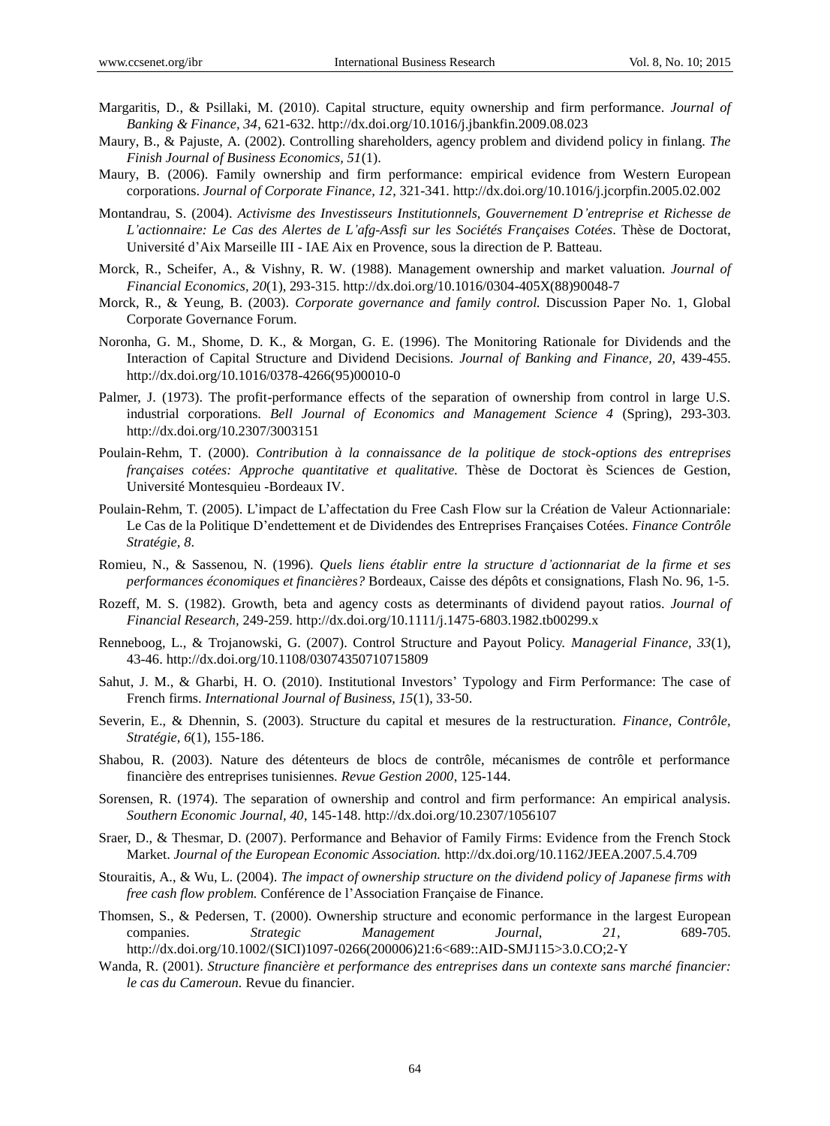- Margaritis, D., & Psillaki, M. (2010). Capital structure, equity ownership and firm performance. *Journal of Banking & Finance, 34*, 621-632. <http://dx.doi.org/10.1016/j.jbankfin.2009.08.023>
- Maury, B., & Pajuste, A. (2002). Controlling shareholders, agency problem and dividend policy in finlang. *The Finish Journal of Business Economics, 51*(1).
- Maury, B. (2006). Family ownership and firm performance: empirical evidence from Western European corporations. *Journal of Corporate Finance, 12*, 321-341. <http://dx.doi.org/10.1016/j.jcorpfin.2005.02.002>
- Montandrau, S. (2004). *Activisme des Investisseurs Institutionnels, Gouvernement D'entreprise et Richesse de L'actionnaire: Le Cas des Alertes de L'afg-Assfi sur les Sociétés Françaises Cotées*. Thèse de Doctorat, Université d'Aix Marseille III - IAE Aix en Provence, sous la direction de P. Batteau.
- Morck, R., Scheifer, A., & Vishny, R. W. (1988). Management ownership and market valuation. *Journal of Financial Economics, 20*(1), 293-315. [http://dx.doi.org/10.1016/0304-405X\(88\)90048-7](http://dx.doi.org/10.1016/0304-405X(88)90048-7)
- Morck, R., & Yeung, B. (2003). *Corporate governance and family control.* Discussion Paper No. 1, Global Corporate Governance Forum.
- Noronha, G. M., Shome, D. K., & Morgan, G. E. (1996). The Monitoring Rationale for Dividends and the Interaction of Capital Structure and Dividend Decisions. *Journal of Banking and Finance, 20*, 439-455. [http://dx.doi.org/10.1016/0378-4266\(95\)00010-0](http://dx.doi.org/10.1016/0378-4266(95)00010-0)
- Palmer, J. (1973). The profit-performance effects of the separation of ownership from control in large U.S. industrial corporations. *Bell Journal of Economics and Management Science 4* (Spring), 293-303. <http://dx.doi.org/10.2307/3003151>
- Poulain-Rehm, T. (2000). *Contribution à la connaissance de la politique de stock-options des entreprises françaises cotées: Approche quantitative et qualitative.* Thèse de Doctorat ès Sciences de Gestion, Université Montesquieu -Bordeaux IV.
- Poulain-Rehm, T. (2005). L'impact de L'affectation du Free Cash Flow sur la Création de Valeur Actionnariale: Le Cas de la Politique D'endettement et de Dividendes des Entreprises Françaises Cotées. *Finance Contrôle Stratégie, 8*.
- Romieu, N., & Sassenou, N. (1996). *Quels liens établir entre la structure d'actionnariat de la firme et ses performances économiques et financières?* Bordeaux, Caisse des dépôts et consignations, Flash No. 96, 1-5.
- Rozeff, M. S. (1982). Growth, beta and agency costs as determinants of dividend payout ratios. *Journal of Financial Research,* 249-259. <http://dx.doi.org/10.1111/j.1475-6803.1982.tb00299.x>
- Renneboog, L., & Trojanowski, G. (2007). Control Structure and Payout Policy. *Managerial Finance, 33*(1), 43-46. <http://dx.doi.org/10.1108/03074350710715809>
- Sahut, J. M., & Gharbi, H. O. (2010). Institutional Investors' Typology and Firm Performance: The case of French firms. *International Journal of Business, 15*(1), 33-50.
- Severin, E., & Dhennin, S. (2003). Structure du capital et mesures de la restructuration. *Finance, Contrôle, Stratégie, 6*(1), 155-186.
- Shabou, R. (2003). Nature des détenteurs de blocs de contrôle, mécanismes de contrôle et performance financière des entreprises tunisiennes. *Revue Gestion 2000*, 125-144.
- Sorensen, R. (1974). The separation of ownership and control and firm performance: An empirical analysis. *Southern Economic Journal, 40*, 145-148[. http://dx.doi.org/10.2307/1056107](http://dx.doi.org/10.2307/1056107)
- Sraer, D., & Thesmar, D. (2007). Performance and Behavior of Family Firms: Evidence from the French Stock Market. *Journal of the European Economic Association.* <http://dx.doi.org/10.1162/JEEA.2007.5.4.709>
- Stouraitis, A., & Wu, L. (2004). *The impact of ownership structure on the dividend policy of Japanese firms with free cash flow problem.* Conférence de l'Association Française de Finance.
- Thomsen, S., & Pedersen, T. (2000). Ownership structure and economic performance in the largest European companies. *Strategic Management Journal, 21*, 689-705. [http://dx.doi.org/10.1002/\(SICI\)1097-0266\(200006\)21:6<689::AID-SMJ115>3.0.CO;2-Y](http://dx.doi.org/10.1002/(SICI)1097-0266(200006)21:6%3C689::AID-SMJ115%3E3.0.CO;2-Y)
- Wanda, R. (2001). *Structure financière et performance des entreprises dans un contexte sans marché financier: le cas du Cameroun.* Revue du financier.